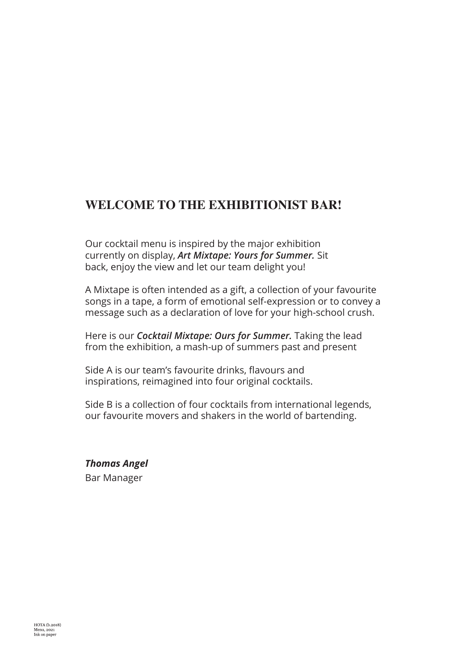## **WELCOME TO THE EXHIBITIONIST BAR!**

Our cocktail menu is inspired by the major exhibition currently on display, *Art Mixtape: Yours for Summer.* Sit back, enjoy the view and let our team delight you!

A Mixtape is often intended as a gift, a collection of your favourite songs in a tape, a form of emotional self-expression or to convey a message such as a declaration of love for your high-school crush.

Here is our *Cocktail Mixtape: Ours for Summer.* Taking the lead from the exhibition, a mash-up of summers past and present

Side A is our team's favourite drinks, flavours and inspirations, reimagined into four original cocktails.

Side B is a collection of four cocktails from international legends, our favourite movers and shakers in the world of bartending.

*Thomas Angel* Bar Manager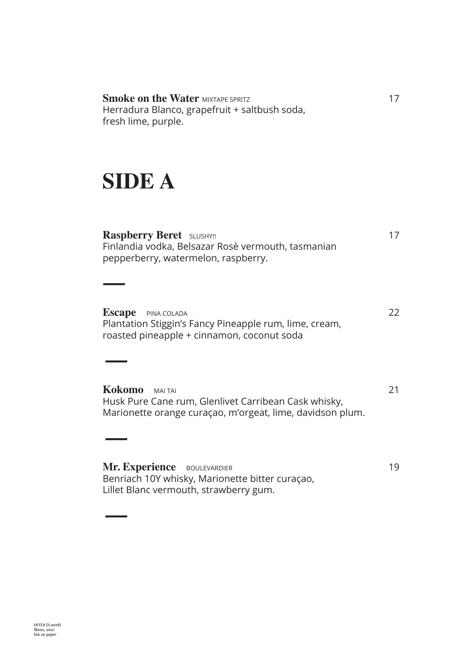**Smoke on the Water MIXTAPE SPRITZ 17** Herradura Blanco, grapefruit + saltbush soda, fresh lime, purple.

# **SIDE A**

*—*

*—*

*—*

*—*

**Raspberry Beret** SLUSHY!! 17 Finlandia vodka, Belsazar Rosè vermouth, tasmanian pepperberry, watermelon, raspberry.

**Escape** PINA COLADA 22 Plantation Stiggin's Fancy Pineapple rum, lime, cream, roasted pineapple + cinnamon, coconut soda

**Kokomo** MAI TAI 21 Husk Pure Cane rum, Glenlivet Carribean Cask whisky, Marionette orange curaçao, m'orgeat, lime, davidson plum.

**Mr. Experience** BOULEVARDIER 19 Benriach 10Y whisky, Marionette bitter curaçao, Lillet Blanc vermouth, strawberry gum.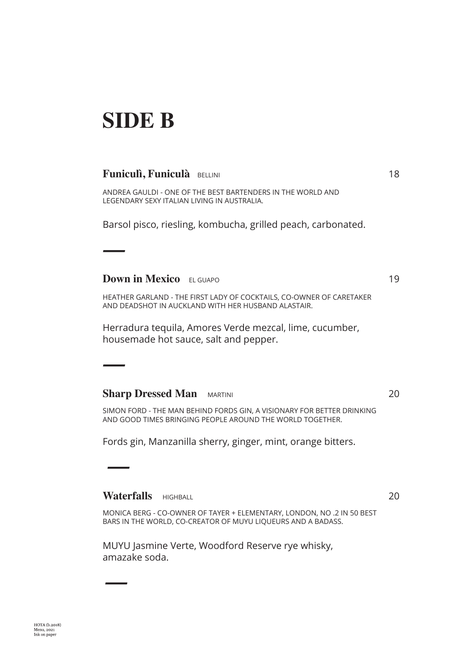# **SIDE B**

*—*

*—*

 *—*

*—*

#### **Funiculì, Funiculà** BELLINI **18**

ANDREA GAULDI - ONE OF THE BEST BARTENDERS IN THE WORLD AND LEGENDARY SEXY ITALIAN LIVING IN AUSTRALIA.

Barsol pisco, riesling, kombucha, grilled peach, carbonated.

**Down in Mexico** EL GUAPO 19

HEATHER GARLAND - THE FIRST LADY OF COCKTAILS, CO-OWNER OF CARETAKER AND DEADSHOT IN AUCKLAND WITH HER HUSBAND ALASTAIR.

Herradura tequila, Amores Verde mezcal, lime, cucumber, housemade hot sauce, salt and pepper.

#### **Sharp Dressed Man** MARTINI 20

SIMON FORD - THE MAN BEHIND FORDS GIN, A VISIONARY FOR BETTER DRINKING AND GOOD TIMES BRINGING PEOPLE AROUND THE WORLD TOGETHER.

Fords gin, Manzanilla sherry, ginger, mint, orange bitters.

**Waterfalls** HIGHBALL 20

MONICA BERG - CO-OWNER OF TAYER + ELEMENTARY, LONDON, NO .2 IN 50 BEST BARS IN THE WORLD, CO-CREATOR OF MUYU LIQUEURS AND A BADASS.

MUYU Jasmine Verte, Woodford Reserve rye whisky, amazake soda.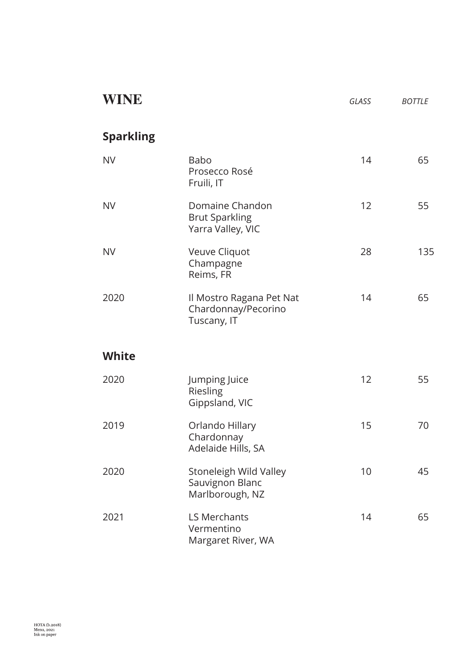| WINE             |                                                                | GLASS | <b>BOTTLE</b> |
|------------------|----------------------------------------------------------------|-------|---------------|
| <b>Sparkling</b> |                                                                |       |               |
| <b>NV</b>        | <b>Babo</b><br>Prosecco Rosé<br>Fruili, IT                     | 14    | 65            |
| <b>NV</b>        | Domaine Chandon<br><b>Brut Sparkling</b><br>Yarra Valley, VIC  | 12    | 55            |
| <b>NV</b>        | Veuve Cliquot<br>Champagne<br>Reims, FR                        | 28    | 135           |
| 2020             | Il Mostro Ragana Pet Nat<br>Chardonnay/Pecorino<br>Tuscany, IT | 14    | 65            |
| <b>White</b>     |                                                                |       |               |
| 2020             | Jumping Juice<br>Riesling<br>Gippsland, VIC                    | 12    | 55            |
| 2019             | Orlando Hillary<br>Chardonnay<br>Adelaide Hills, SA            | 15    | 70            |
| 2020             | Stoneleigh Wild Valley<br>Sauvignon Blanc<br>Marlborough, NZ   | 10    | 45            |
| 2021             | <b>LS Merchants</b><br>Vermentino<br>Margaret River, WA        | 14    | 65            |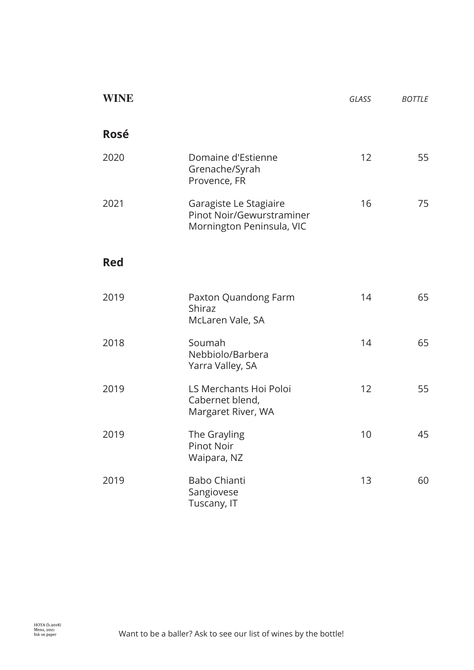| <b>WINE</b> |                                                                                  | GLASS | <b>BOTTLE</b> |
|-------------|----------------------------------------------------------------------------------|-------|---------------|
| <b>Rosé</b> |                                                                                  |       |               |
| 2020        | Domaine d'Estienne<br>Grenache/Syrah<br>Provence, FR                             | 12    | 55            |
| 2021        | Garagiste Le Stagiaire<br>Pinot Noir/Gewurstraminer<br>Mornington Peninsula, VIC | 16    | 75            |
| <b>Red</b>  |                                                                                  |       |               |
| 2019        | Paxton Quandong Farm<br><b>Shiraz</b><br>McLaren Vale, SA                        | 14    | 65            |
| 2018        | Soumah<br>Nebbiolo/Barbera<br>Yarra Valley, SA                                   | 14    | 65            |
| 2019        | LS Merchants Hoi Poloi<br>Cabernet blend,<br>Margaret River, WA                  | 12    | 55            |
| 2019        | The Grayling<br>Pinot Noir<br>Waipara, NZ                                        | 10    | 45            |
| 2019        | <b>Babo Chianti</b><br>Sangiovese<br>Tuscany, IT                                 | 13    | 60            |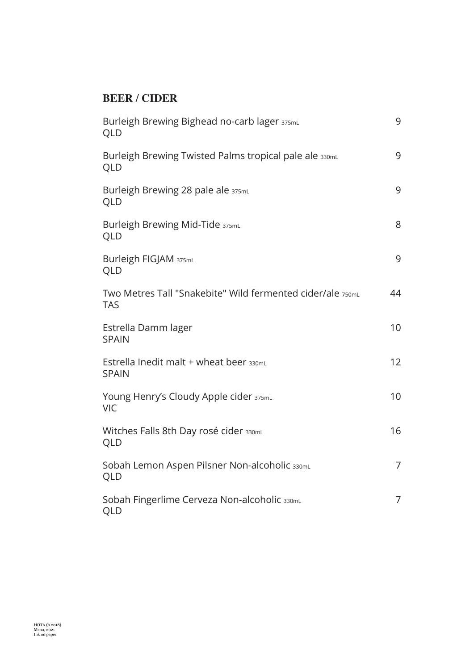## **BEER / CIDER**

| Burleigh Brewing Bighead no-carb lager 375mL<br>QLD                      | 9  |
|--------------------------------------------------------------------------|----|
| Burleigh Brewing Twisted Palms tropical pale ale 330mL<br>QLD            | 9  |
| Burleigh Brewing 28 pale ale 375mL<br>QLD                                | 9  |
| Burleigh Brewing Mid-Tide 375mL<br>QLD                                   | 8  |
| Burleigh FIGJAM 375mL<br>QLD                                             | 9  |
| Two Metres Tall "Snakebite" Wild fermented cider/ale 750mL<br><b>TAS</b> | 44 |
| Estrella Damm lager<br><b>SPAIN</b>                                      | 10 |
| Estrella Inedit malt + wheat beer 330mL<br><b>SPAIN</b>                  | 12 |
| Young Henry's Cloudy Apple cider 375mL<br><b>VIC</b>                     | 10 |
| Witches Falls 8th Day rosé cider 330mL<br>QLD                            | 16 |
| Sobah Lemon Aspen Pilsner Non-alcoholic 330mL<br>QLD                     | 7  |
| Sobah Fingerlime Cerveza Non-alcoholic 330mL<br>QLD                      | 7  |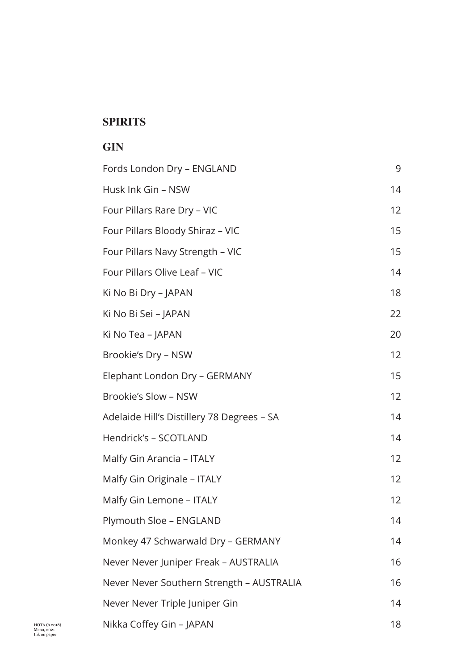#### **SPIRITS**

#### **GIN**

| Fords London Dry - ENGLAND                 | 9               |
|--------------------------------------------|-----------------|
| Husk Ink Gin - NSW                         | 14              |
| Four Pillars Rare Dry - VIC                | 12              |
| Four Pillars Bloody Shiraz - VIC           | 15              |
| Four Pillars Navy Strength - VIC           | 15              |
| Four Pillars Olive Leaf - VIC              | 14              |
| Ki No Bi Dry - JAPAN                       | 18              |
| Ki No Bi Sei - JAPAN                       | 22              |
| Ki No Tea – JAPAN                          | 20              |
| Brookie's Dry - NSW                        | 12              |
| Elephant London Dry - GERMANY              | 15              |
| Brookie's Slow - NSW                       | 12 <sup>2</sup> |
| Adelaide Hill's Distillery 78 Degrees - SA | 14              |
| Hendrick's - SCOTLAND                      | 14              |
| Malfy Gin Arancia - ITALY                  | 12              |
| Malfy Gin Originale - ITALY                | 12              |
| Malfy Gin Lemone - ITALY                   | 12 <sup>2</sup> |
| Plymouth Sloe - ENGLAND                    | 14              |
| Monkey 47 Schwarwald Dry - GERMANY         | 14              |
| Never Never Juniper Freak - AUSTRALIA      | 16              |
| Never Never Southern Strength - AUSTRALIA  | 16              |
| Never Never Triple Juniper Gin             | 14              |
| Nikka Coffey Gin - JAPAN                   | 18              |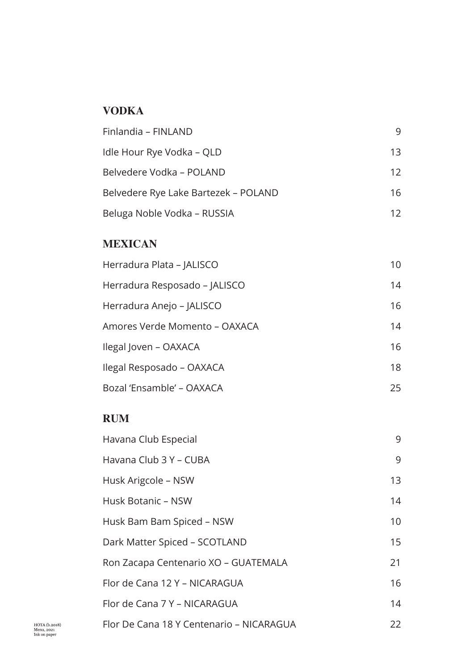## **VODKA**

| Finlandia - FINLAND                  | 9  |
|--------------------------------------|----|
| Idle Hour Rye Vodka – QLD            | 13 |
| Belvedere Vodka – POLAND             | 12 |
| Belvedere Rye Lake Bartezek – POLAND | 16 |
| Beluga Noble Vodka – RUSSIA          | 12 |

# **MEXICAN**

| Herradura Plata – JALISCO     | 10 |
|-------------------------------|----|
| Herradura Resposado – JALISCO | 14 |
| Herradura Anejo – JALISCO     | 16 |
| Amores Verde Momento – OAXACA | 14 |
| Ilegal Joven - OAXACA         | 16 |
| Ilegal Resposado – OAXACA     | 18 |
| Bozal 'Ensamble' – OAXACA     | 25 |

## **RUM**

| Havana Club Especial                     | 9               |
|------------------------------------------|-----------------|
| Havana Club 3 Y - CUBA                   | 9               |
| Husk Arigcole - NSW                      | 13              |
| <b>Husk Botanic - NSW</b>                | 14              |
| Husk Bam Bam Spiced - NSW                | 10 <sup>°</sup> |
| Dark Matter Spiced - SCOTLAND            | 15              |
| Ron Zacapa Centenario XO - GUATEMALA     | 21              |
| Flor de Cana 12 Y - NICARAGUA            | 16              |
| Flor de Cana 7 Y - NICARAGUA             | 14              |
| Flor De Cana 18 Y Centenario - NICARAGUA | 22              |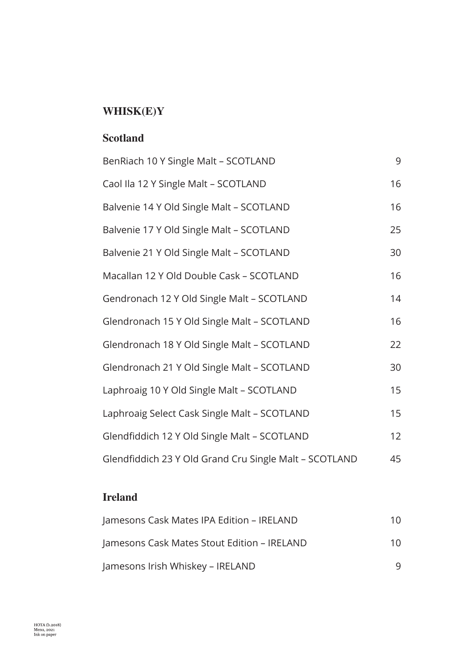# **WHISK(E)Y**

#### **Scotland**

| BenRiach 10 Y Single Malt - SCOTLAND                   | 9  |
|--------------------------------------------------------|----|
| Caol Ila 12 Y Single Malt - SCOTLAND                   | 16 |
| Balvenie 14 Y Old Single Malt - SCOTLAND               | 16 |
| Balvenie 17 Y Old Single Malt - SCOTLAND               | 25 |
| Balvenie 21 Y Old Single Malt - SCOTLAND               | 30 |
| Macallan 12 Y Old Double Cask - SCOTLAND               | 16 |
| Gendronach 12 Y Old Single Malt - SCOTLAND             | 14 |
| Glendronach 15 Y Old Single Malt - SCOTLAND            | 16 |
| Glendronach 18 Y Old Single Malt - SCOTLAND            | 22 |
| Glendronach 21 Y Old Single Malt - SCOTLAND            | 30 |
| Laphroaig 10 Y Old Single Malt - SCOTLAND              | 15 |
| Laphroaig Select Cask Single Malt - SCOTLAND           | 15 |
| Glendfiddich 12 Y Old Single Malt - SCOTLAND           | 12 |
| Glendfiddich 23 Y Old Grand Cru Single Malt - SCOTLAND | 45 |

# **Ireland**

| Jamesons Cask Mates IPA Edition - IRELAND   | 10  |
|---------------------------------------------|-----|
| Jamesons Cask Mates Stout Edition – IRELAND | 1 Q |
| Jamesons Irish Whiskey – IRELAND            | q   |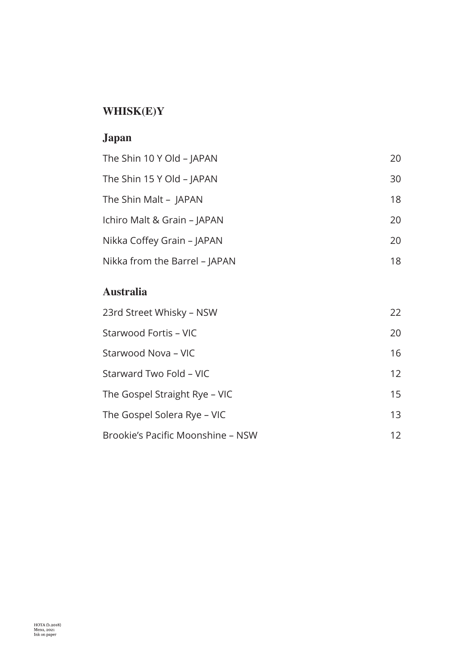# **WHISK(E)Y**

# **Japan**

| The Shin 10 Y Old - JAPAN     | 20 |
|-------------------------------|----|
| The Shin 15 Y Old - JAPAN     | 30 |
| The Shin Malt - JAPAN         | 18 |
| Ichiro Malt & Grain - JAPAN   | 20 |
| Nikka Coffey Grain - JAPAN    | 20 |
| Nikka from the Barrel - JAPAN | 18 |

## **Australia**

| 23rd Street Whisky – NSW          | 22              |
|-----------------------------------|-----------------|
| Starwood Fortis – VIC             | 20              |
| Starwood Nova – VIC               | 16              |
| Starward Two Fold – VIC           | 12 <sup>2</sup> |
| The Gospel Straight Rye – VIC     | 15              |
| The Gospel Solera Rye – VIC       | 13              |
| Brookie's Pacific Moonshine - NSW | 12              |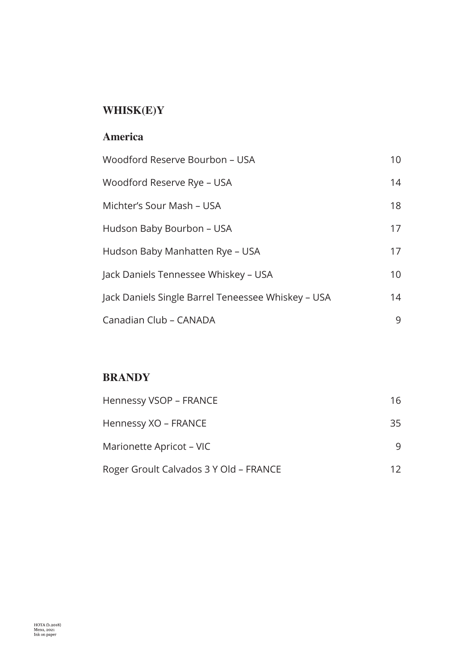# **WHISK(E)Y**

#### **America**

| Woodford Reserve Bourbon – USA                     | 10              |
|----------------------------------------------------|-----------------|
| Woodford Reserve Rye – USA                         | 14              |
| Michter's Sour Mash – USA                          | 18              |
| Hudson Baby Bourbon - USA                          | 17              |
| Hudson Baby Manhatten Rye – USA                    | 17              |
| Jack Daniels Tennessee Whiskey – USA               | 10 <sup>°</sup> |
| Jack Daniels Single Barrel Teneessee Whiskey – USA | 14              |
| Canadian Club - CANADA                             | 9               |

# **BRANDY**

| <b>Hennessy VSOP - FRANCE</b>          | 16. |
|----------------------------------------|-----|
| Hennessy XO – FRANCE                   | 35  |
| Marionette Apricot – VIC               | q   |
| Roger Groult Calvados 3 Y Old - FRANCE | 12. |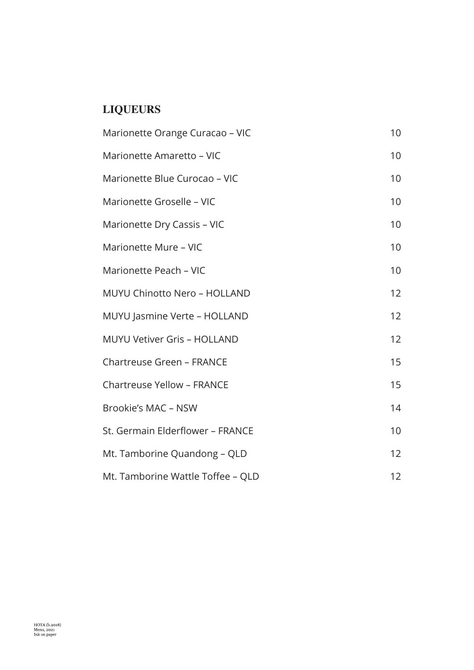# **LIQUEURS**

| Marionette Orange Curacao - VIC     | 10 <sup>1</sup> |
|-------------------------------------|-----------------|
| Marionette Amaretto - VIC           | 10              |
| Marionette Blue Curocao - VIC       | 10 <sup>1</sup> |
| Marionette Groselle - VIC           | 10 <sup>1</sup> |
| Marionette Dry Cassis - VIC         | 10 <sup>1</sup> |
| Marionette Mure - VIC               | 10              |
| Marionette Peach - VIC              | 10              |
| <b>MUYU Chinotto Nero - HOLLAND</b> | 12              |
| MUYU Jasmine Verte - HOLLAND        | 12              |
| <b>MUYU Vetiver Gris - HOLLAND</b>  | 12 <sup>2</sup> |
| <b>Chartreuse Green - FRANCE</b>    | 15              |
| <b>Chartreuse Yellow - FRANCE</b>   | 15              |
| Brookie's MAC - NSW                 | 14              |
| St. Germain Elderflower - FRANCE    | 10 <sup>1</sup> |
| Mt. Tamborine Quandong - QLD        | 12              |
| Mt. Tamborine Wattle Toffee - QLD   | 12              |